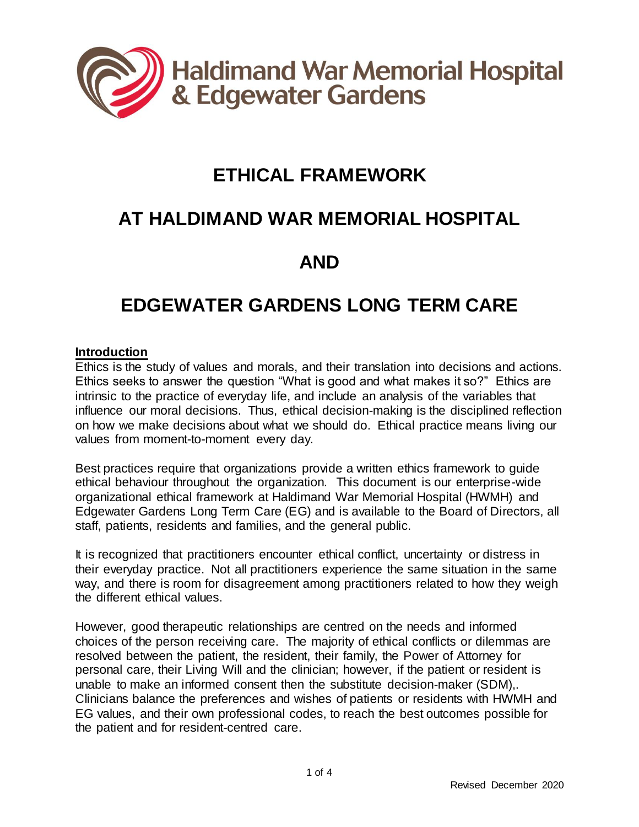

# **ETHICAL FRAMEWORK**

# **AT HALDIMAND WAR MEMORIAL HOSPITAL**

# **AND**

# **EDGEWATER GARDENS LONG TERM CARE**

#### **Introduction**

Ethics is the study of values and morals, and their translation into decisions and actions. Ethics seeks to answer the question "What is good and what makes it so?" Ethics are intrinsic to the practice of everyday life, and include an analysis of the variables that influence our moral decisions. Thus, ethical decision-making is the disciplined reflection on how we make decisions about what we should do. Ethical practice means living our values from moment-to-moment every day.

Best practices require that organizations provide a written ethics framework to guide ethical behaviour throughout the organization. This document is our enterprise-wide organizational ethical framework at Haldimand War Memorial Hospital (HWMH) and Edgewater Gardens Long Term Care (EG) and is available to the Board of Directors, all staff, patients, residents and families, and the general public.

It is recognized that practitioners encounter ethical conflict, uncertainty or distress in their everyday practice. Not all practitioners experience the same situation in the same way, and there is room for disagreement among practitioners related to how they weigh the different ethical values.

However, good therapeutic relationships are centred on the needs and informed choices of the person receiving care. The majority of ethical conflicts or dilemmas are resolved between the patient, the resident, their family, the Power of Attorney for personal care, their Living Will and the clinician; however, if the patient or resident is unable to make an informed consent then the substitute decision-maker (SDM),. Clinicians balance the preferences and wishes of patients or residents with HWMH and EG values, and their own professional codes, to reach the best outcomes possible for the patient and for resident-centred care.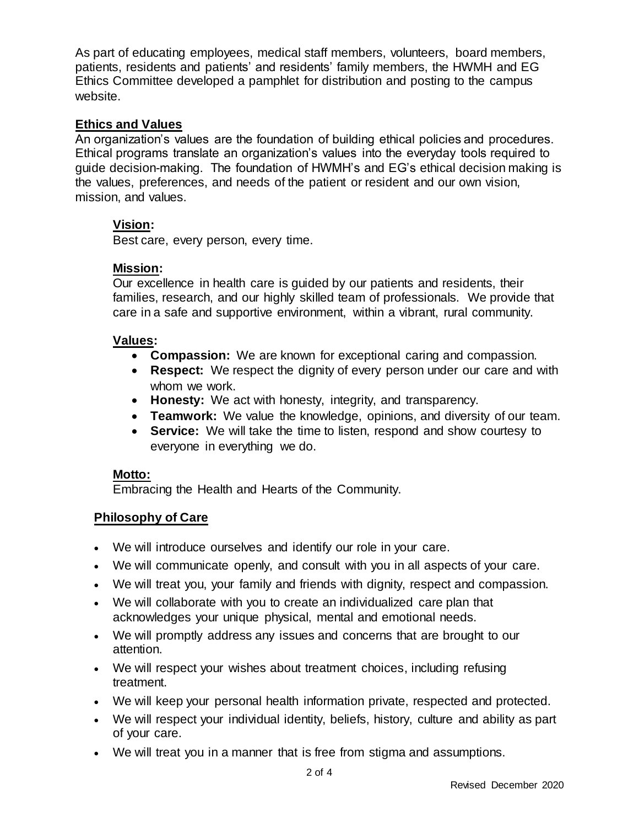As part of educating employees, medical staff members, volunteers, board members, patients, residents and patients' and residents' family members, the HWMH and EG Ethics Committee developed a pamphlet for distribution and posting to the campus website.

#### **Ethics and Values**

An organization's values are the foundation of building ethical policies and procedures. Ethical programs translate an organization's values into the everyday tools required to guide decision-making. The foundation of HWMH's and EG's ethical decision making is the values, preferences, and needs of the patient or resident and our own vision, mission, and values.

# **Vision:**

Best care, every person, every time.

#### **Mission:**

Our excellence in health care is guided by our patients and residents, their families, research, and our highly skilled team of professionals. We provide that care in a safe and supportive environment, within a vibrant, rural community.

#### **Values:**

- **Compassion:** We are known for exceptional caring and compassion.
- **Respect:** We respect the dignity of every person under our care and with whom we work.
- **Honesty:** We act with honesty, integrity, and transparency.
- **Teamwork:** We value the knowledge, opinions, and diversity of our team.
- **Service:** We will take the time to listen, respond and show courtesy to everyone in everything we do.

## **Motto:**

Embracing the Health and Hearts of the Community.

## **Philosophy of Care**

- We will introduce ourselves and identify our role in your care.
- We will communicate openly, and consult with you in all aspects of your care.
- We will treat you, your family and friends with dignity, respect and compassion.
- We will collaborate with you to create an individualized care plan that acknowledges your unique physical, mental and emotional needs.
- We will promptly address any issues and concerns that are brought to our attention.
- We will respect your wishes about treatment choices, including refusing treatment.
- We will keep your personal health information private, respected and protected.
- We will respect your individual identity, beliefs, history, culture and ability as part of your care.
- We will treat you in a manner that is free from stigma and assumptions.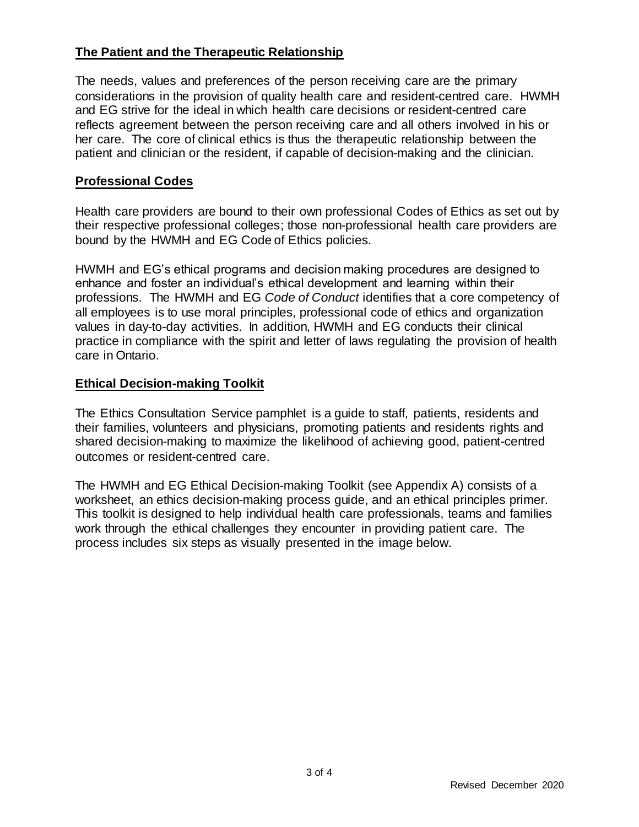# **The Patient and the Therapeutic Relationship**

The needs, values and preferences of the person receiving care are the primary considerations in the provision of quality health care and resident-centred care. HWMH and EG strive for the ideal in which health care decisions or resident-centred care reflects agreement between the person receiving care and all others involved in his or her care. The core of clinical ethics is thus the therapeutic relationship between the patient and clinician or the resident, if capable of decision-making and the clinician.

# **Professional Codes**

Health care providers are bound to their own professional Codes of Ethics as set out by their respective professional colleges; those non-professional health care providers are bound by the HWMH and EG Code of Ethics policies.

HWMH and EG's ethical programs and decision making procedures are designed to enhance and foster an individual's ethical development and learning within their professions. The HWMH and EG *Code of Conduct* identifies that a core competency of all employees is to use moral principles, professional code of ethics and organization values in day-to-day activities. In addition, HWMH and EG conducts their clinical practice in compliance with the spirit and letter of laws regulating the provision of health care in Ontario.

## **Ethical Decision-making Toolkit**

The Ethics Consultation Service pamphlet is a guide to staff, patients, residents and their families, volunteers and physicians, promoting patients and residents rights and shared decision-making to maximize the likelihood of achieving good, patient-centred outcomes or resident-centred care.

The HWMH and EG Ethical Decision-making Toolkit (see Appendix A) consists of a worksheet, an ethics decision-making process guide, and an ethical principles primer. This toolkit is designed to help individual health care professionals, teams and families work through the ethical challenges they encounter in providing patient care. The process includes six steps as visually presented in the image below.